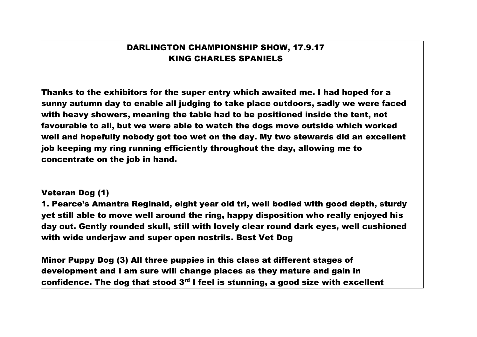## DARLINGTON CHAMPIONSHIP SHOW, 17.9.17 KING CHARLES SPANIELS

Thanks to the exhibitors for the super entry which awaited me. I had hoped for a sunny autumn day to enable all judging to take place outdoors, sadly we were faced with heavy showers, meaning the table had to be positioned inside the tent, not favourable to all, but we were able to watch the dogs move outside which worked well and hopefully nobody got too wet on the day. My two stewards did an excellent job keeping my ring running efficiently throughout the day, allowing me to concentrate on the job in hand.

### Veteran Dog (1)

1. Pearce's Amantra Reginald, eight year old tri, well bodied with good depth, sturdy yet still able to move well around the ring, happy disposition who really enjoyed his day out. Gently rounded skull, still with lovely clear round dark eyes, well cushioned with wide underjaw and super open nostrils. Best Vet Dog

Minor Puppy Dog (3) All three puppies in this class at different stages of development and I am sure will change places as they mature and gain in confidence. The dog that stood  $3<sup>rd</sup>$  I feel is stunning, a good size with excellent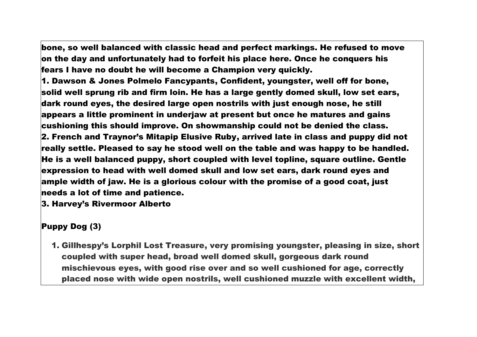bone, so well balanced with classic head and perfect markings. He refused to move on the day and unfortunately had to forfeit his place here. Once he conquers his fears I have no doubt he will become a Champion very quickly.

1. Dawson & Jones Polmelo Fancypants, Confident, youngster, well off for bone,  $\,$ solid well sprung rib and firm loin. He has a large gently domed skull, low set ears, dark round eyes, the desired large open nostrils with just enough nose, he still appears a little prominent in underjaw at present but once he matures and gains cushioning this should improve. On showmanship could not be denied the class. 2. French and Traynor's Mitapip Elusive Ruby, arrived late in class and puppy did not really settle. Pleased to say he stood well on the table and was happy to be handled. He is a well balanced puppy, short coupled with level topline, square outline. Gentle expression to head with well domed skull and low set ears, dark round eyes and ample width of jaw. He is a glorious colour with the promise of a good coat, just needs a lot of time and patience.

3. Harvey's Rivermoor Alberto

# Puppy Dog (3)

1. Gillhespy's Lorphil Lost Treasure, very promising youngster, pleasing in size, short coupled with super head, broad well domed skull, gorgeous dark round mischievous eyes, with good rise over and so well cushioned for age, correctly placed nose with wide open nostrils, well cushioned muzzle with excellent width,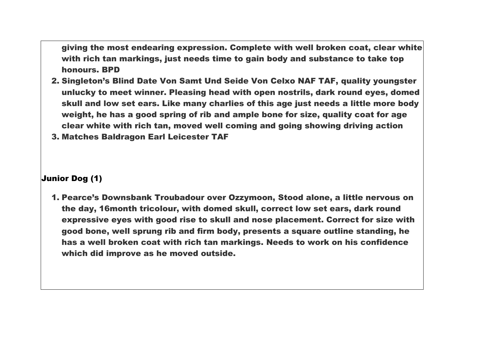giving the most endearing expression. Complete with well broken coat, clear white with rich tan markings, just needs time to gain body and substance to take top honours. BPD

- 2. Singleton's Blind Date Von Samt Und Seide Von Celxo NAF TAF, quality youngster unlucky to meet winner. Pleasing head with open nostrils, dark round eyes, domed skull and low set ears. Like many charlies of this age just needs a little more body weight, he has a good spring of rib and ample bone for size, quality coat for age clear white with rich tan, moved well coming and going showing driving action
- 3. Matches Baldragon Earl Leicester TAF

### Junior Dog (1)

1. Pearce's Downsbank Troubadour over Ozzymoon, Stood alone, a little nervous on the day, 16month tricolour, with domed skull, correct low set ears, dark round expressive eyes with good rise to skull and nose placement. Correct for size with good bone, well sprung rib and firm body, presents a square outline standing, he has a well broken coat with rich tan markings. Needs to work on his confidence which did improve as he moved outside.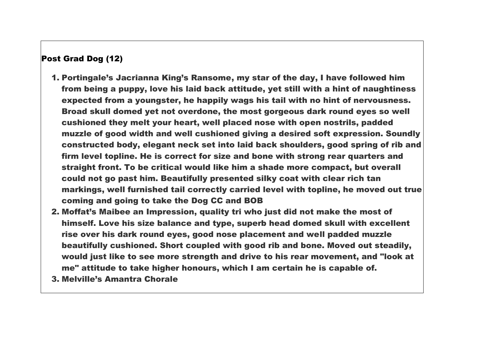## Post Grad Dog (12)

- 1. Portingale's Jacrianna King's Ransome, my star of the day, I have followed him from being a puppy, love his laid back attitude, yet still with a hint of naughtiness expected from a youngster, he happily wags his tail with no hint of nervousness. Broad skull domed yet not overdone, the most gorgeous dark round eyes so well cushioned they melt your heart, well placed nose with open nostrils, padded muzzle of good width and well cushioned giving a desired soft expression. Soundly constructed body, elegant neck set into laid back shoulders, good spring of rib and firm level topline. He is correct for size and bone with strong rear quarters and straight front. To be critical would like him a shade more compact, but overall could not go past him. Beautifully presented silky coat with clear rich tan markings, well furnished tail correctly carried level with topline, he moved out true coming and going to take the Dog CC and BOB
- 2. Moffat's Maibee an Impression, quality tri who just did not make the most of himself. Love his size balance and type, superb head domed skull with excellent rise over his dark round eyes, good nose placement and well padded muzzle beautifully cushioned. Short coupled with good rib and bone. Moved out steadily, would just like to see more strength and drive to his rear movement, and "look at me" attitude to take higher honours, which I am certain he is capable of.
- 3. Melville's Amantra Chorale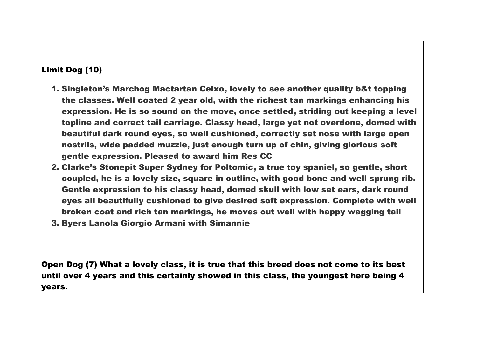## Limit Dog (10)

- 1. Singleton's Marchog Mactartan Celxo, lovely to see another quality b&t topping the classes. Well coated 2 year old, with the richest tan markings enhancing his expression. He is so sound on the move, once settled, striding out keeping a level topline and correct tail carriage. Classy head, large yet not overdone, domed with beautiful dark round eyes, so well cushioned, correctly set nose with large open nostrils, wide padded muzzle, just enough turn up of chin, giving glorious soft gentle expression. Pleased to award him Res CC
- 2. Clarke's Stonepit Super Sydney for Poltomic, a true toy spaniel, so gentle, short coupled, he is a lovely size, square in outline, with good bone and well sprung rib. Gentle expression to his classy head, domed skull with low set ears, dark round eyes all beautifully cushioned to give desired soft expression. Complete with well broken coat and rich tan markings, he moves out well with happy wagging tail
- 3. Byers Lanola Giorgio Armani with Simannie

Open Dog (7) What a lovely class, it is true that this breed does not come to its best  $\,$ until over 4 years and this certainly showed in this class, the youngest here being 4 years.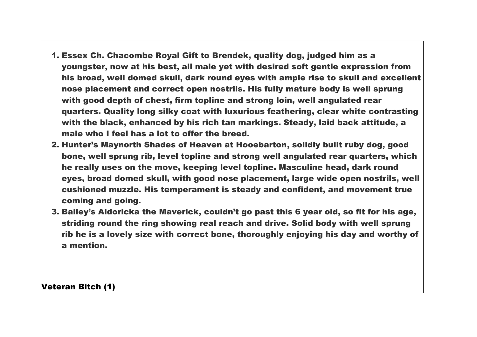- 1. Essex Ch. Chacombe Royal Gift to Brendek, quality dog, judged him as a youngster, now at his best, all male yet with desired soft gentle expression from his broad, well domed skull, dark round eyes with ample rise to skull and excellent nose placement and correct open nostrils. His fully mature body is well sprung with good depth of chest, firm topline and strong loin, well angulated rear quarters. Quality long silky coat with luxurious feathering, clear white contrasting with the black, enhanced by his rich tan markings. Steady, laid back attitude, a male who I feel has a lot to offer the breed.
- 2. Hunter's Maynorth Shades of Heaven at Hooebarton, solidly built ruby dog, good bone, well sprung rib, level topline and strong well angulated rear quarters, which he really uses on the move, keeping level topline. Masculine head, dark round eyes, broad domed skull, with good nose placement, large wide open nostrils, well cushioned muzzle. His temperament is steady and confident, and movement true coming and going.
- 3. Bailey's Aldoricka the Maverick, couldn't go past this 6 year old, so fit for his age, striding round the ring showing real reach and drive. Solid body with well sprung rib he is a lovely size with correct bone, thoroughly enjoying his day and worthy of a mention.

Veteran Bitch (1)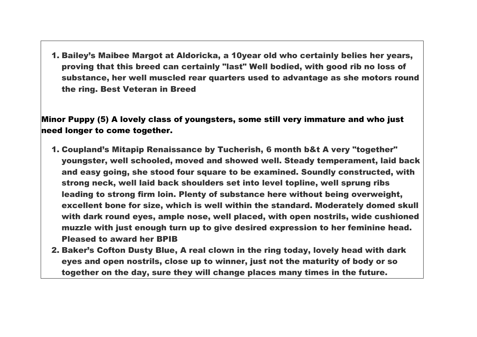1. Bailey's Maibee Margot at Aldoricka, a 10year old who certainly belies her years, proving that this breed can certainly "last" Well bodied, with good rib no loss of substance, her well muscled rear quarters used to advantage as she motors round the ring. Best Veteran in Breed

Minor Puppy (5) A lovely class of youngsters, some still very immature and who just need longer to come together.

- 1. Coupland's Mitapip Renaissance by Tucherish, 6 month b&t A very "together" youngster, well schooled, moved and showed well. Steady temperament, laid back and easy going, she stood four square to be examined. Soundly constructed, with strong neck, well laid back shoulders set into level topline, well sprung ribs leading to strong firm loin. Plenty of substance here without being overweight, excellent bone for size, which is well within the standard. Moderately domed skull with dark round eyes, ample nose, well placed, with open nostrils, wide cushioned muzzle with just enough turn up to give desired expression to her feminine head. Pleased to award her BPIB
- 2. Baker's Cofton Dusty Blue, A real clown in the ring today, lovely head with dark eyes and open nostrils, close up to winner, just not the maturity of body or so together on the day, sure they will change places many times in the future.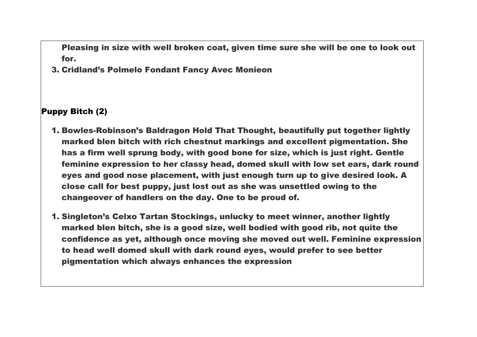Pleasing in size with well broken coat, given time sure she will be one to look out for.

3. Cridland's Polmelo Fondant Fancy Avec Monieon

Puppy Bitch (2)

- 1. Bowles-Robinson's Baldragon Hold That Thought, beautifully put together lightly marked blen bitch with rich chestnut markings and excellent pigmentation. She has a firm well sprung body, with good bone for size, which is just right. Gentle feminine expression to her classy head, domed skull with low set ears, dark round eyes and good nose placement, with just enough turn up to give desired look. A close call for best puppy, just lost out as she was unsettled owing to the changeover of handlers on the day. One to be proud of.
- 1. Singleton's Celxo Tartan Stockings, unlucky to meet winner, another lightly marked blen bitch, she is a good size, well bodied with good rib, not quite the confidence as yet, although once moving she moved out well. Feminine expression to head well domed skull with dark round eyes, would prefer to see better pigmentation which always enhances the expression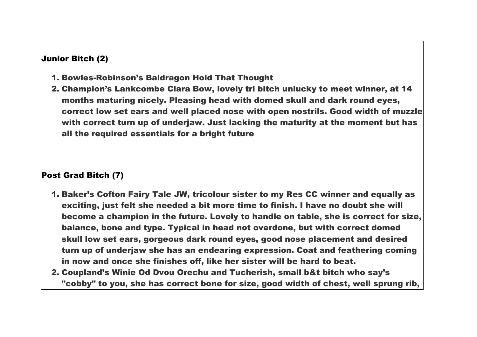## Junior Bitch (2)

- 1. Bowles-Robinson's Baldragon Hold That Thought
- 2. Champion's Lankcombe Clara Bow, lovely tri bitch unlucky to meet winner, at 14 months maturing nicely. Pleasing head with domed skull and dark round eyes, correct low set ears and well placed nose with open nostrils. Good width of muzzle with correct turn up of underjaw. Just lacking the maturity at the moment but has all the required essentials for a bright future

### Post Grad Bitch (7)

- 1. Baker's Cofton Fairy Tale JW, tricolour sister to my Res CC winner and equally as exciting, just felt she needed a bit more time to finish. I have no doubt she will become a champion in the future. Lovely to handle on table, she is correct for size, balance, bone and type. Typical in head not overdone, but with correct domed skull low set ears, gorgeous dark round eyes, good nose placement and desired turn up of underjaw she has an endearing expression. Coat and feathering coming in now and once she finishes off, like her sister will be hard to beat.
- 2. Coupland's Winie Od Dvou Orechu and Tucherish, small b&t bitch who say's "cobby" to you, she has correct bone for size, good width of chest, well sprung rib,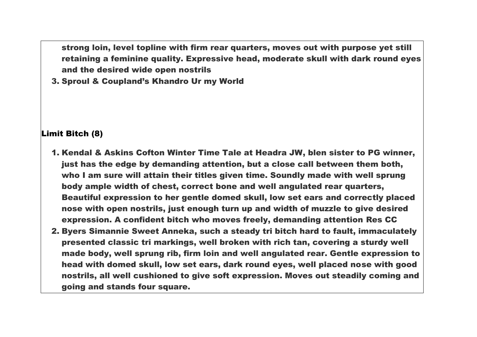strong loin, level topline with firm rear quarters, moves out with purpose yet still retaining a feminine quality. Expressive head, moderate skull with dark round eyes and the desired wide open nostrils

3. Sproul & Coupland's Khandro Ur my World

### Limit Bitch (8)

- 1. Kendal & Askins Cofton Winter Time Tale at Headra JW, blen sister to PG winner, just has the edge by demanding attention, but a close call between them both, who I am sure will attain their titles given time. Soundly made with well sprung body ample width of chest, correct bone and well angulated rear quarters, Beautiful expression to her gentle domed skull, low set ears and correctly placed nose with open nostrils, just enough turn up and width of muzzle to give desired expression. A confident bitch who moves freely, demanding attention Res CC
- 2. Byers Simannie Sweet Anneka, such a steady tri bitch hard to fault, immaculately presented classic tri markings, well broken with rich tan, covering a sturdy well made body, well sprung rib, firm loin and well angulated rear. Gentle expression to head with domed skull, low set ears, dark round eyes, well placed nose with good nostrils, all well cushioned to give soft expression. Moves out steadily coming and going and stands four square.